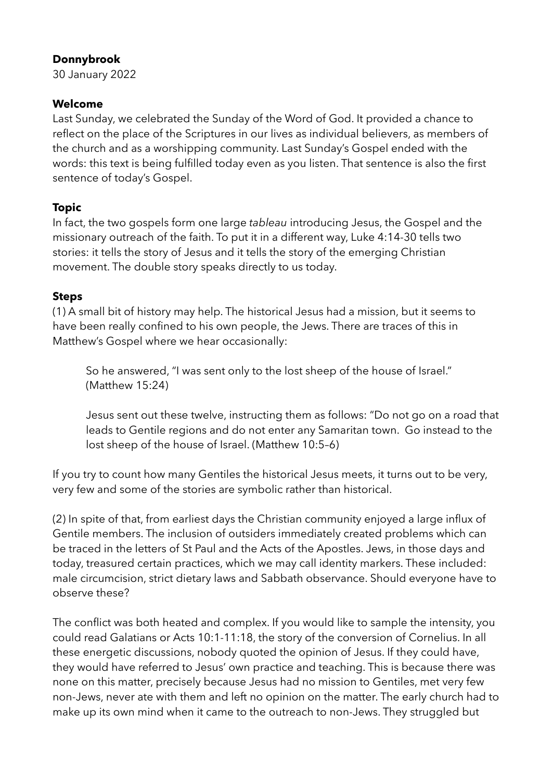# **Donnybrook**

30 January 2022

### **Welcome**

Last Sunday, we celebrated the Sunday of the Word of God. It provided a chance to reflect on the place of the Scriptures in our lives as individual believers, as members of the church and as a worshipping community. Last Sunday's Gospel ended with the words: this text is being fulfilled today even as you listen. That sentence is also the first sentence of today's Gospel.

### **Topic**

In fact, the two gospels form one large *tableau* introducing Jesus, the Gospel and the missionary outreach of the faith. To put it in a different way, Luke 4:14-30 tells two stories: it tells the story of Jesus and it tells the story of the emerging Christian movement. The double story speaks directly to us today.

#### **Steps**

(1) A small bit of history may help. The historical Jesus had a mission, but it seems to have been really confined to his own people, the Jews. There are traces of this in Matthew's Gospel where we hear occasionally:

So he answered, "I was sent only to the lost sheep of the house of Israel." (Matthew 15:24)

Jesus sent out these twelve, instructing them as follows: "Do not go on a road that leads to Gentile regions and do not enter any Samaritan town. Go instead to the lost sheep of the house of Israel. (Matthew 10:5–6)

If you try to count how many Gentiles the historical Jesus meets, it turns out to be very, very few and some of the stories are symbolic rather than historical.

(2) In spite of that, from earliest days the Christian community enjoyed a large influx of Gentile members. The inclusion of outsiders immediately created problems which can be traced in the letters of St Paul and the Acts of the Apostles. Jews, in those days and today, treasured certain practices, which we may call identity markers. These included: male circumcision, strict dietary laws and Sabbath observance. Should everyone have to observe these?

The conflict was both heated and complex. If you would like to sample the intensity, you could read Galatians or Acts 10:1-11:18, the story of the conversion of Cornelius. In all these energetic discussions, nobody quoted the opinion of Jesus. If they could have, they would have referred to Jesus' own practice and teaching. This is because there was none on this matter, precisely because Jesus had no mission to Gentiles, met very few non-Jews, never ate with them and left no opinion on the matter. The early church had to make up its own mind when it came to the outreach to non-Jews. They struggled but